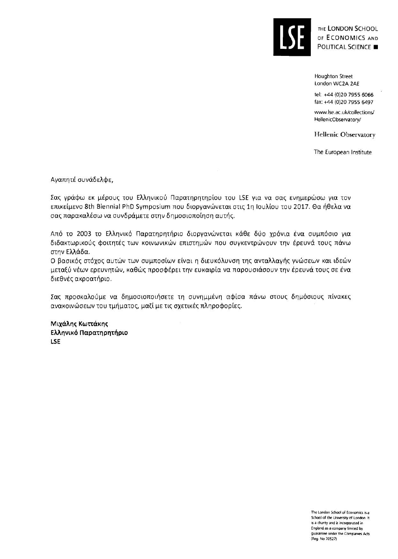

THE LONDON SCHOOL OF ECONOMICS AND POLITICAL SCIENCE

**Houghton Street London WC2A 2AE** 

**tel: +44 (0)20 7955 6066 fax:** +44 **(0)20 7955 6497** 

www.lse.ac.uk/collections/ HellenicObservatory/

**Hellenic Observatory** 

The European Institute

Αγαπητέ συνάδελφε,

Σας γράφω εκ μέρους του Ελληνικού Παρατηρητηρίου του LSE για να σας ενημερώσω για τον επικείμενο 8th Biennial PhD Symposium που διοργανώνεται στις 1η Ιουλίου του 2017. Θα ήθελα να σας παρακαλέσω να συνδράμετε στην δημοσιοποίηση αυτής.

Aπό το 2003 το Ελληνικό Παρατηρητήριο διοργανώνεται κάθε δύο χρόνια ένα συμπόσιο για διδακτωρικούς φοιτητές των κοινωνικών επιστημών που συγκεντρώνουν την έρευνά τους πάνω στην Ελλάδα.

Ο βασικός στόχος αυτών των συμποσίων είναι η διευκόλυνση της ανταλλαγής γνώσεων και ιδεών μεταξύ νέων ερευνητών, καθώς προσφέρει την ευκαιρία να παρουσιάσουν την έρευνά τους σε ένα διεθνές ακροατήριο.

Σας προσκαλούμε να δημοσιοποιήσετε τη συνημμένη αφίσα πάνω στους δημόσιους πίνακες aνακοινώσεων του τμήματος, μαζί με τις σχετικές πληροφορίες.

Μιχάλης Κωττάκης Ελληνικό Παρατηρητήριο LSE

> The London School of Economics is a School of the University of London. It  $\ddot{\mathbf{s}}$  a charity and  $\ddot{\mathbf{s}}$  incorporated in England as a company limited by guarantee under the Companies Acts **(Reg No 70527)**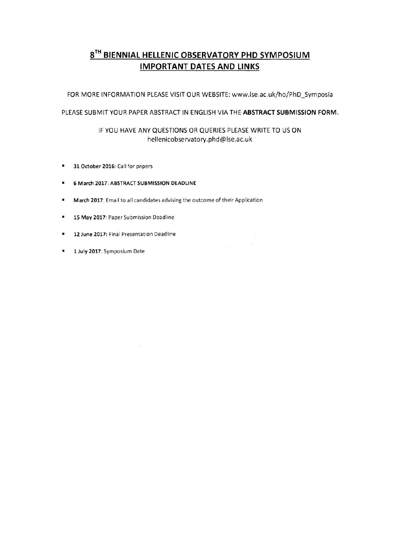## $8<sup>TH</sup>$  BIENNIAL HELLENIC OBSERVATORY PHD SYMPOSIUM **IMPORTANT DATES AND LINKS**

FOR MORE INFORMATION PLEASE VISIT OUR WEBSITE: www.lse.ac.uk/ho/PhD\_Symposia

## PLEASE SUBMIT YOUR PAPER ABSTRACT IN ENGLISH VIA THE ABSTRACT SUBMISSION FORM.

## IF YOU HAVE ANY QUESTIONS OR QUERIES PLEASE WRITE TO US ON hellenicobservatory.phd@Ise.ac.uk

 $\tilde{\mathbf{u}}$ 

- **31 October 2016:** Call for papers  $\blacksquare$
- **6 March 2017: ABSTRACT SUBMISSION DEADLINE**   $\mathbf{u}$  .
- **March 2017:** Email to all candidates advising the outcome of their Application
- **15 May 2017:** Paper Submission Deadline
- **12 June 2017:** Final Presentation Deadline  $\blacksquare$
- $\blacksquare$ **1 July 2017:** Symposium Date